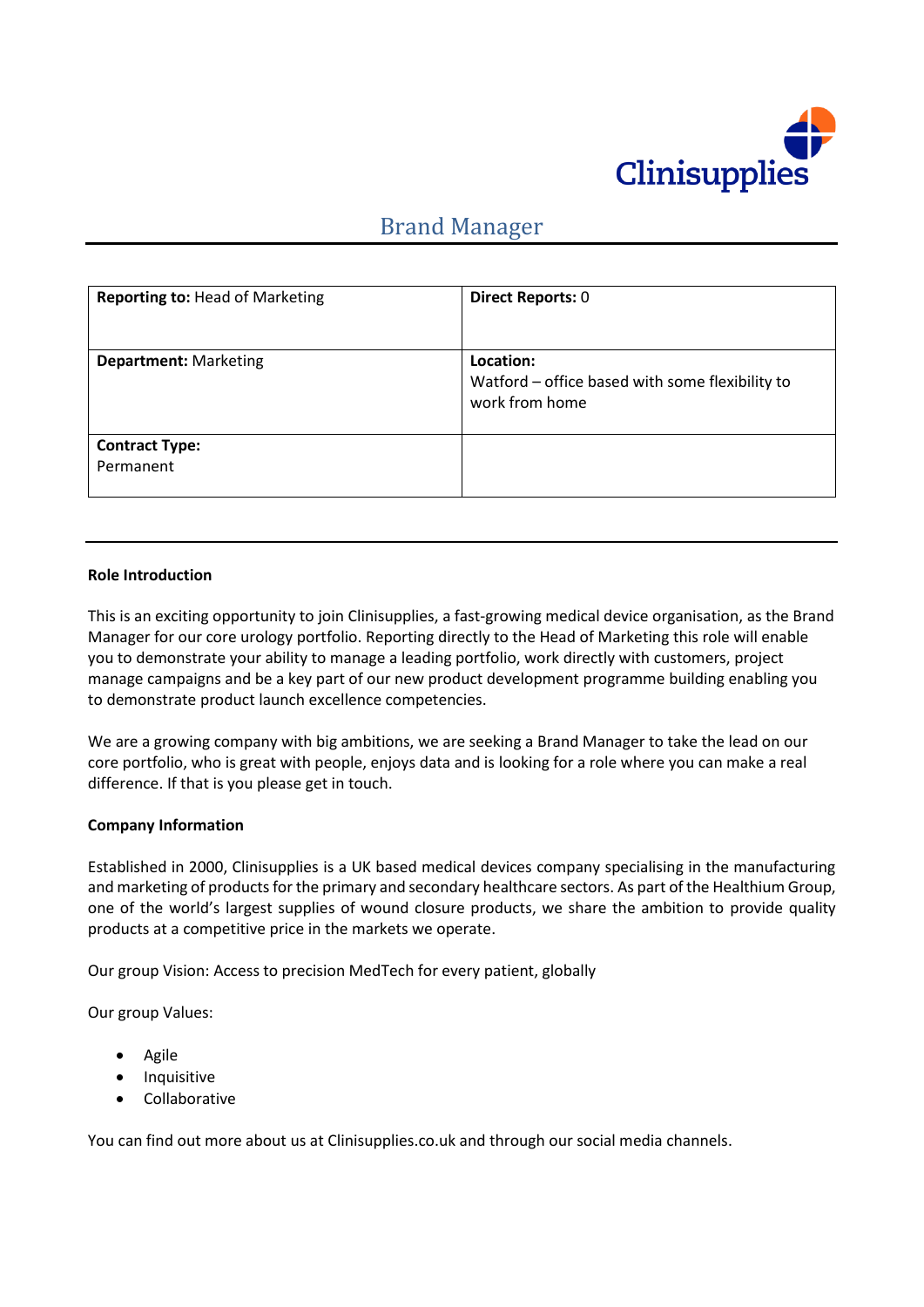

# Brand Manager

| Reporting to: Head of Marketing    | <b>Direct Reports: 0</b>                                                       |
|------------------------------------|--------------------------------------------------------------------------------|
| <b>Department: Marketing</b>       | Location:<br>Watford - office based with some flexibility to<br>work from home |
| <b>Contract Type:</b><br>Permanent |                                                                                |

#### **Role Introduction**

This is an exciting opportunity to join Clinisupplies, a fast-growing medical device organisation, as the Brand Manager for our core urology portfolio. Reporting directly to the Head of Marketing this role will enable you to demonstrate your ability to manage a leading portfolio, work directly with customers, project manage campaigns and be a key part of our new product development programme building enabling you to demonstrate product launch excellence competencies.

We are a growing company with big ambitions, we are seeking a Brand Manager to take the lead on our core portfolio, who is great with people, enjoys data and is looking for a role where you can make a real difference. If that is you please get in touch.

#### **Company Information**

Established in 2000, Clinisupplies is a UK based medical devices company specialising in the manufacturing and marketing of products for the primary and secondary healthcare sectors. As part of the Healthium Group, one of the world's largest supplies of wound closure products, we share the ambition to provide quality products at a competitive price in the markets we operate.

Our group Vision: Access to precision MedTech for every patient, globally

Our group Values:

- Agile
- Inquisitive
- Collaborative

You can find out more about us at Clinisupplies.co.uk and through our social media channels.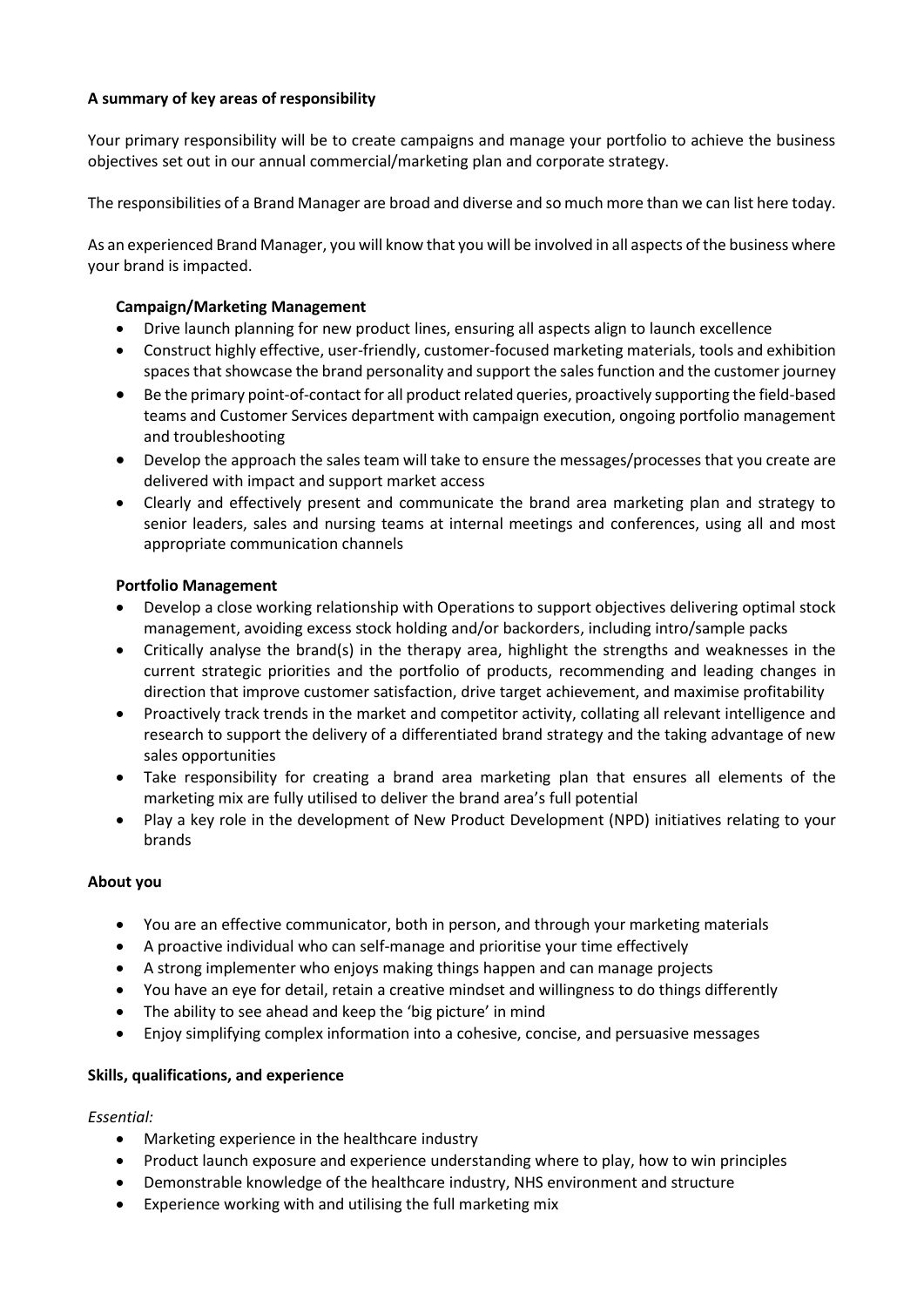# **A summary of key areas of responsibility**

Your primary responsibility will be to create campaigns and manage your portfolio to achieve the business objectives set out in our annual commercial/marketing plan and corporate strategy.

The responsibilities of a Brand Manager are broad and diverse and so much more than we can list here today.

As an experienced Brand Manager, you will know that you will be involved in all aspects of the business where your brand is impacted.

## **Campaign/Marketing Management**

- Drive launch planning for new product lines, ensuring all aspects align to launch excellence
- Construct highly effective, user-friendly, customer-focused marketing materials, tools and exhibition spaces that showcase the brand personality and support the sales function and the customer journey
- Be the primary point-of-contact for all product related queries, proactively supporting the field-based teams and Customer Services department with campaign execution, ongoing portfolio management and troubleshooting
- Develop the approach the sales team will take to ensure the messages/processes that you create are delivered with impact and support market access
- Clearly and effectively present and communicate the brand area marketing plan and strategy to senior leaders, sales and nursing teams at internal meetings and conferences, using all and most appropriate communication channels

### **Portfolio Management**

- Develop a close working relationship with Operations to support objectives delivering optimal stock management, avoiding excess stock holding and/or backorders, including intro/sample packs
- Critically analyse the brand(s) in the therapy area, highlight the strengths and weaknesses in the current strategic priorities and the portfolio of products, recommending and leading changes in direction that improve customer satisfaction, drive target achievement, and maximise profitability
- Proactively track trends in the market and competitor activity, collating all relevant intelligence and research to support the delivery of a differentiated brand strategy and the taking advantage of new sales opportunities
- Take responsibility for creating a brand area marketing plan that ensures all elements of the marketing mix are fully utilised to deliver the brand area's full potential
- Play a key role in the development of New Product Development (NPD) initiatives relating to your brands

# **About you**

- You are an effective communicator, both in person, and through your marketing materials
- A proactive individual who can self-manage and prioritise your time effectively
- A strong implementer who enjoys making things happen and can manage projects
- You have an eye for detail, retain a creative mindset and willingness to do things differently
- The ability to see ahead and keep the 'big picture' in mind
- Enjoy simplifying complex information into a cohesive, concise, and persuasive messages

#### **Skills, qualifications, and experience**

#### *Essential:*

- Marketing experience in the healthcare industry
- Product launch exposure and experience understanding where to play, how to win principles
- Demonstrable knowledge of the healthcare industry, NHS environment and structure
- Experience working with and utilising the full marketing mix